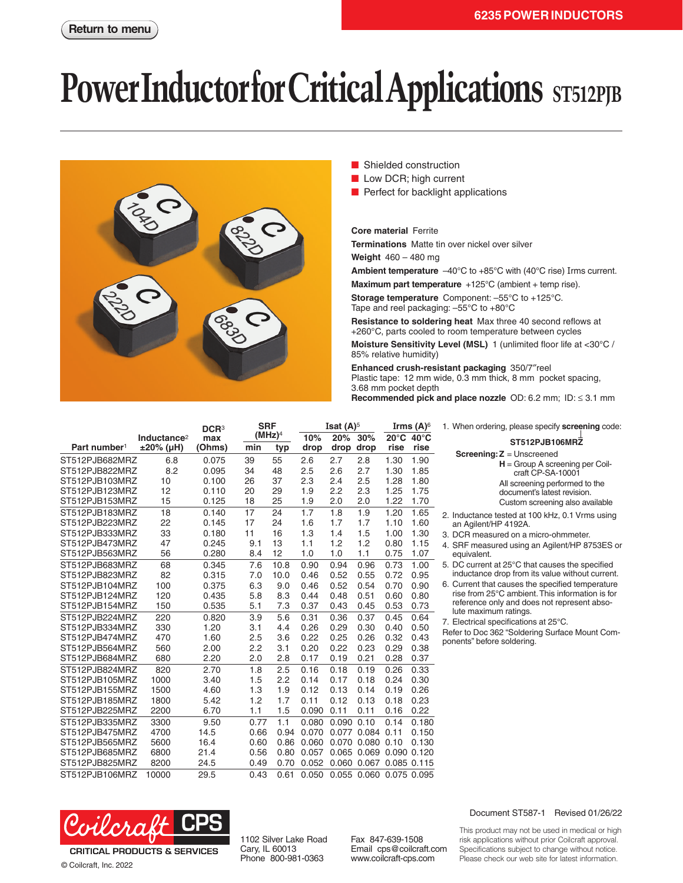## **Power Inductor for Critical Applications** ST512PJB



- Shielded construction
- Low DCR; high current
- Perfect for backlight applications

**Core material** Ferrite

**Terminations** Matte tin over nickel over silver

**Weight** 460 – 480 mg

**Ambient temperature** –40°C to +85°C with (40°C rise) Irms current.

**Maximum part temperature** +125°C (ambient + temp rise).

**Storage temperature** Component: –55°C to +125°C. Tape and reel packaging: –55°C to +80°C

**Resistance to soldering heat** Max three 40 second reflows at +260°C, parts cooled to room temperature between cycles

**Moisture Sensitivity Level (MSL)** 1 (unlimited floor life at <30°C / 85% relative humidity)

**Enhanced crush-resistant packaging** 350/7″reel Plastic tape: 12 mm wide, 0.3 mm thick, 8 mm pocket spacing, 3.68 mm pocket depth<br>Recommended pick a

| Recommended pick and place nozzle $OD: 6.2$ mm; $ID: \leq 3.1$ mm |  |
|-------------------------------------------------------------------|--|
|-------------------------------------------------------------------|--|

|                          | <b>SRF</b><br>DCR <sup>3</sup> |        |      |                    | Isat $(A)^5$ | Irms $(A)^6$   |             |             |       |  |
|--------------------------|--------------------------------|--------|------|--------------------|--------------|----------------|-------------|-------------|-------|--|
|                          | Inductance <sup>2</sup>        | max    |      | (MHz) <sup>4</sup> | 10%          | 20%            | 30%         | 20°C 40°C   |       |  |
| Part number <sup>1</sup> | ±20% (µH)                      | (Ohms) | min  | typ                | drop         | drop           | drop        | rise        | rise  |  |
| ST512PJB682MRZ           | 6.8                            | 0.075  | 39   | 55                 | 2.6          | 2.7            | 2.8         | 1.30        | 1.90  |  |
| ST512PJB822MRZ           | 8.2                            | 0.095  | 34   | 48                 | 2.5          | 2.6            | 2.7         | 1.30        | 1.85  |  |
| ST512PJB103MRZ           | 10                             | 0.100  | 26   | 37                 | 2.3          | 2.4            | 2.5         | 1.28        | 1.80  |  |
| ST512PJB123MRZ           | 12                             | 0.110  | 20   | 29                 | 1.9          | 2.2            | 2.3         | 1.25        | 1.75  |  |
| ST512PJB153MRZ           | 15                             | 0.125  | 18   | 25                 | 1.9          | 2.0            | 2.0         | 1.22        | 1.70  |  |
| ST512PJB183MRZ           | 18                             | 0.140  | 17   | 24                 | 1.7          | 1.8            | 1.9         | 1.20        | 1.65  |  |
| ST512PJB223MRZ           | 22                             | 0.145  | 17   | 24                 | 1.6          | 1.7            | 1.7         | 1.10        | 1.60  |  |
| ST512PJB333MRZ           | 33                             | 0.180  | 11   | 16                 | 1.3          | 1.4            | 1.5         | 1.00        | 1.30  |  |
| ST512PJB473MRZ           | 47                             | 0.245  | 9.1  | 13                 | 1.1          | 1.2            | 1.2         | 0.80        | 1.15  |  |
| ST512PJB563MRZ           | 56                             | 0.280  | 8.4  | 12                 | 1.0          | 1.0            | 1.1         | 0.75        | 1.07  |  |
| ST512PJB683MRZ           | 68                             | 0.345  | 7.6  | 10.8               | 0.90         | 0.94           | 0.96        | 0.73        | 1.00  |  |
| ST512PJB823MRZ           | 82                             | 0.315  | 7.0  | 10.0               | 0.46         | 0.52           | 0.55        | 0.72        | 0.95  |  |
| ST512PJB104MRZ           | 100                            | 0.375  | 6.3  | 9.0                | 0.46         | 0.52           | 0.54        | 0.70        | 0.90  |  |
| ST512PJB124MRZ           | 120                            | 0.435  | 5.8  | 8.3                | 0.44         | 0.48           | 0.51        | 0.60        | 0.80  |  |
| ST512PJB154MRZ           | 150                            | 0.535  | 5.1  | 7.3                | 0.37         | 0.43           | 0.45        | 0.53        | 0.73  |  |
| ST512PJB224MRZ           | 220                            | 0.820  | 3.9  | 5.6                | 0.31         | 0.36           | 0.37        | 0.45        | 0.64  |  |
| ST512PJB334MRZ           | 330                            | 1.20   | 3.1  | 4.4                | 0.26         | 0.29           | 0.30        | 0.40        | 0.50  |  |
| ST512PJB474MRZ           | 470                            | 1.60   | 2.5  | 3.6                | 0.22         | 0.25           | 0.26        | 0.32        | 0.43  |  |
| ST512PJB564MRZ           | 560                            | 2.00   | 2.2  | 3.1                | 0.20         | 0.22           | 0.23        | 0.29        | 0.38  |  |
| ST512PJB684MRZ           | 680                            | 2.20   | 2.0  | 2.8                | 0.17         | 0.19           | 0.21        | 0.28        | 0.37  |  |
| ST512PJB824MRZ           | 820                            | 2.70   | 1.8  | 2.5                | 0.16         | 0.18           | 0.19        | 0.26        | 0.33  |  |
| ST512PJB105MRZ           | 1000                           | 3.40   | 1.5  | 2.2                | 0.14         | 0.17           | 0.18        | 0.24        | 0.30  |  |
| ST512PJB155MRZ           | 1500                           | 4.60   | 1.3  | 1.9                | 0.12         | 0.13           | 0.14        | 0.19        | 0.26  |  |
| ST512PJB185MRZ           | 1800                           | 5.42   | 1.2  | 1.7                | 0.11         | 0.12           | 0.13        | 0.18        | 0.23  |  |
| ST512PJB225MRZ           | 2200                           | 6.70   | 1.1  | 1.5                | 0.090        | 0.11           | 0.11        | 0.16        | 0.22  |  |
| ST512PJB335MRZ           | 3300                           | 9.50   | 0.77 | 1.1                | 0.080        | $0.090$ $0.10$ |             | 0.14        | 0.180 |  |
| ST512PJB475MRZ           | 4700                           | 14.5   | 0.66 | 0.94               | 0.070        |                | 0.077 0.084 | 0.11        | 0.150 |  |
| ST512PJB565MRZ           | 5600                           | 16.4   | 0.60 | 0.86               | 0.060        |                | 0.070 0.080 | 0.10        | 0.130 |  |
| ST512PJB685MRZ           | 6800                           | 21.4   | 0.56 | 0.80               | 0.057        |                | 0.065 0.069 | 0.090 0.120 |       |  |
| ST512PJB825MRZ           | 8200                           | 24.5   | 0.49 | 0.70               | 0.052        |                | 0.060 0.067 | 0.085 0.115 |       |  |
| ST512PJB106MRZ           | 10000                          | 29.5   | 0.43 | 0.61               | 0.050        | 0.055          | 0.060       | 0.075 0.095 |       |  |

1. When ordering, please specify **screening** code:

**ST512PJB106MRZ Screening:Z** = Unscreened **H** = Group A screening per Coilcraft CP-SA-10001 All screening performed to the document's latest revision. Custom screening also available

2. Inductance tested at 100 kHz, 0.1 Vrms using an Agilent/HP 4192A.

- 3. DCR measured on a micro-ohmmeter.
- 4. SRF measured using an Agilent/HP 8753ES or equivalent.
- 5. DC current at 25°C that causes the specified inductance drop from its value without current.

6. Current that causes the specified temperature rise from 25°C ambient. This information is for reference only and does not represent absolute maximum ratings.

7. Electrical specifications at 25°C.

Refer to Doc 362 "Soldering Surface Mount Components" before soldering.



© Coilcraft, Inc. 2022

1102 Silver Lake Road Cary, IL 60013 Phone 800-981-0363

Fax 847-639-1508 Email cps@coilcraft.com www.coilcraft-cps.com

## Document ST587-1 Revised 01/26/22

This product may not be used in medical or high risk applications without prior Coilcraft approval. Specifications subject to change without notice. Please check our web site for latest information.